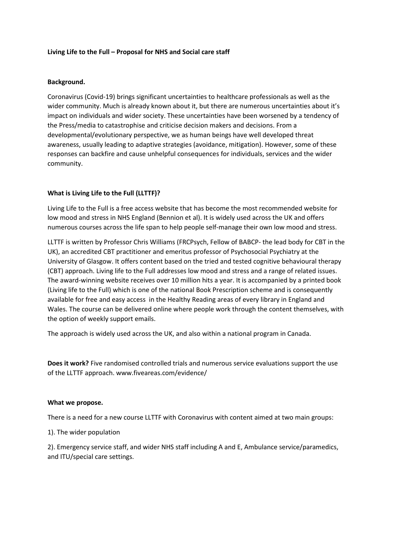# **Living Life to the Full – Proposal for NHS and Social care staff**

# **Background.**

Coronavirus (Covid-19) brings significant uncertainties to healthcare professionals as well as the wider community. Much is already known about it, but there are numerous uncertainties about it's impact on individuals and wider society. These uncertainties have been worsened by a tendency of the Press/media to catastrophise and criticise decision makers and decisions. From a developmental/evolutionary perspective, we as human beings have well developed threat awareness, usually leading to adaptive strategies (avoidance, mitigation). However, some of these responses can backfire and cause unhelpful consequences for individuals, services and the wider community.

# **What is Living Life to the Full (LLTTF)?**

Living Life to the Full is a free access website that has become the most recommended website for low mood and stress in NHS England (Bennion et al). It is widely used across the UK and offers numerous courses across the life span to help people self-manage their own low mood and stress.

LLTTF is written by Professor Chris Williams (FRCPsych, Fellow of BABCP- the lead body for CBT in the UK), an accredited CBT practitioner and emeritus professor of Psychosocial Psychiatry at the University of Glasgow. It offers content based on the tried and tested cognitive behavioural therapy (CBT) approach. Living life to the Full addresses low mood and stress and a range of related issues. The award-winning website receives over 10 million hits a year. It is accompanied by a printed book (Living life to the Full) which is one of the national Book Prescription scheme and is consequently available for free and easy access in the Healthy Reading areas of every library in England and Wales. The course can be delivered online where people work through the content themselves, with the option of weekly support emails.

The approach is widely used across the UK, and also within a national program in Canada.

**Does it work?** Five randomised controlled trials and numerous service evaluations support the use of the LLTTF approach. www.fiveareas.com/evidence/

#### **What we propose.**

There is a need for a new course LLTTF with Coronavirus with content aimed at two main groups:

1). The wider population

2). Emergency service staff, and wider NHS staff including A and E, Ambulance service/paramedics, and ITU/special care settings.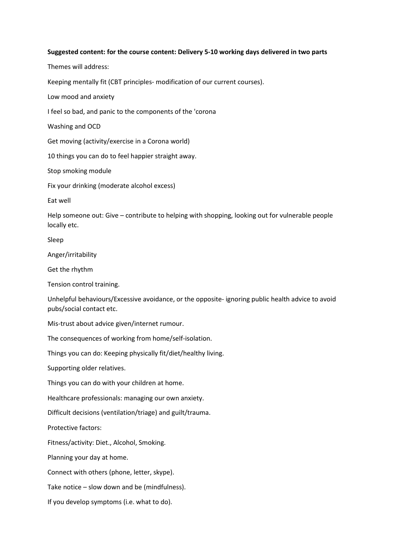### **Suggested content: for the course content: Delivery 5-10 working days delivered in two parts**

Themes will address: Keeping mentally fit (CBT principles- modification of our current courses). Low mood and anxiety I feel so bad, and panic to the components of the 'corona Washing and OCD Get moving (activity/exercise in a Corona world) 10 things you can do to feel happier straight away. Stop smoking module Fix your drinking (moderate alcohol excess) Eat well Help someone out: Give – contribute to helping with shopping, looking out for vulnerable people locally etc. Sleep Anger/irritability Get the rhythm Tension control training. Unhelpful behaviours/Excessive avoidance, or the opposite- ignoring public health advice to avoid pubs/social contact etc. Mis-trust about advice given/internet rumour. The consequences of working from home/self-isolation. Things you can do: Keeping physically fit/diet/healthy living. Supporting older relatives. Things you can do with your children at home. Healthcare professionals: managing our own anxiety. Difficult decisions (ventilation/triage) and guilt/trauma. Protective factors: Fitness/activity: Diet., Alcohol, Smoking. Planning your day at home. Connect with others (phone, letter, skype).

Take notice – slow down and be (mindfulness).

If you develop symptoms (i.e. what to do).